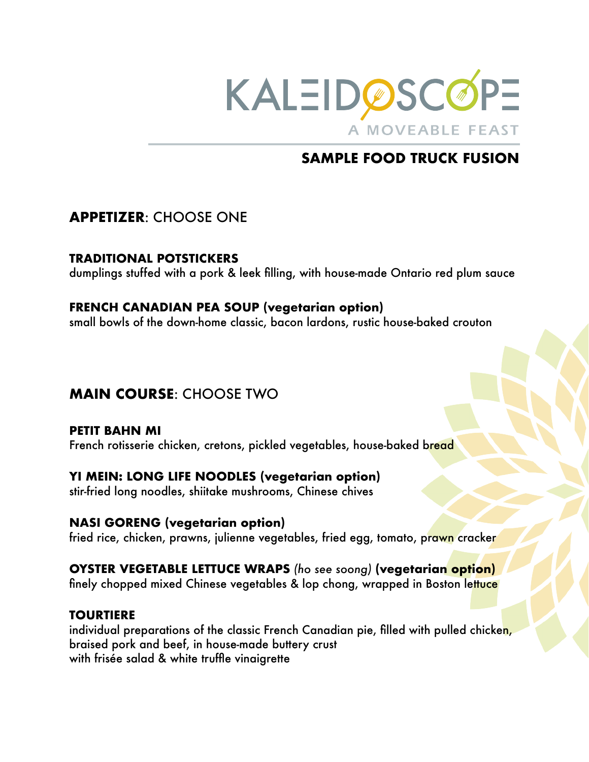

# **SAMPLE FOOD TRUCK FUSION**

## **APPETIZER**: CHOOSE ONE

### **TRADITIONAL POTSTICKERS**

dumplings stuffed with a pork & leek filling, with house-made Ontario red plum sauce

### **FRENCH CANADIAN PEA SOUP (vegetarian option)**

small bowls of the down-home classic, bacon lardons, rustic house-baked crouton

# **MAIN COURSE**: CHOOSE TWO

**PETIT BAHN MI**  French rotisserie chicken, cretons, pickled vegetables, house-baked bread

### **YI MEIN: LONG LIFE NOODLES (vegetarian option)**

stir-fried long noodles, shiitake mushrooms, Chinese chives

### **NASI GORENG (vegetarian option)**

fried rice, chicken, prawns, julienne vegetables, fried egg, tomato, prawn cracker

# **OYSTER VEGETABLE LETTUCE WRAPS** (ho see soong) (vegetarian option)

finely chopped mixed Chinese vegetables & lop chong, wrapped in Boston lettuce

### **TOURTIERE**

individual preparations of the classic French Canadian pie, filled with pulled chicken, braised pork and beef, in house-made buttery crust with frisée salad & white truffle vinaigrette